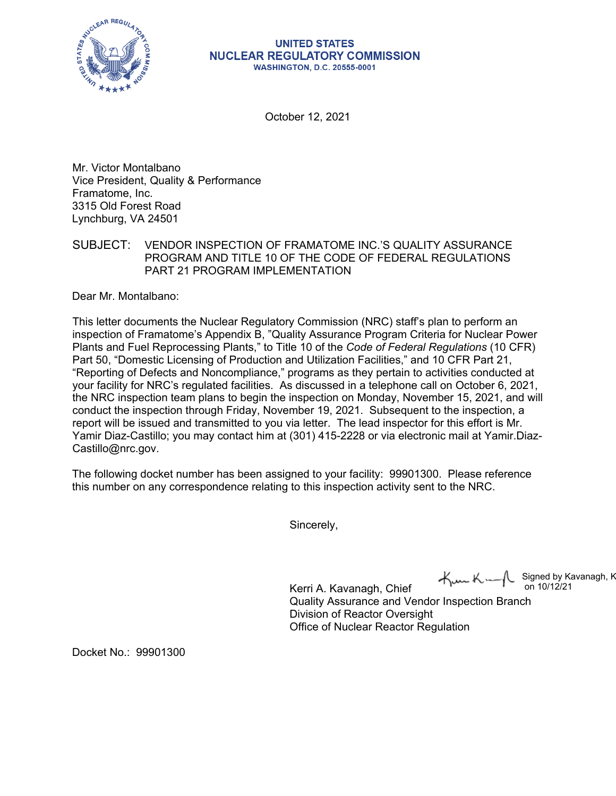

## **UNITED STATES NUCLEAR REGULATORY COMMISSION WASHINGTON, D.C. 20555-0001**

October 12, 2021

Mr. Victor Montalbano Vice President, Quality & Performance Framatome, Inc. 3315 Old Forest Road Lynchburg, VA 24501

SUBJECT: VENDOR INSPECTION OF FRAMATOME INC.'S QUALITY ASSURANCE PROGRAM AND TITLE 10 OF THE CODE OF FEDERAL REGULATIONS PART 21 PROGRAM IMPLEMENTATION

Dear Mr. Montalbano:

This letter documents the Nuclear Regulatory Commission (NRC) staff's plan to perform an inspection of Framatome's Appendix B, "Quality Assurance Program Criteria for Nuclear Power Plants and Fuel Reprocessing Plants," to Title 10 of the *Code of Federal Regulations* (10 CFR) Part 50, "Domestic Licensing of Production and Utilization Facilities," and 10 CFR Part 21, "Reporting of Defects and Noncompliance," programs as they pertain to activities conducted at your facility for NRC's regulated facilities. As discussed in a telephone call on October 6, 2021, the NRC inspection team plans to begin the inspection on Monday, November 15, 2021, and will conduct the inspection through Friday, November 19, 2021. Subsequent to the inspection, a report will be issued and transmitted to you via letter. The lead inspector for this effort is Mr. Yamir Diaz-Castillo; you may contact him at (301) 415-2228 or via electronic mail at Yamir.Diaz-Castillo@nrc.gov.

The following docket number has been assigned to your facility: 99901300. Please reference this number on any correspondence relating to this inspection activity sent to the NRC.

Sincerely,

Signed by Kavanagh, K on 10/12/21

Kerri A. Kavanagh, Chief Quality Assurance and Vendor Inspection Branch Division of Reactor Oversight Office of Nuclear Reactor Regulation

Docket No.: 99901300